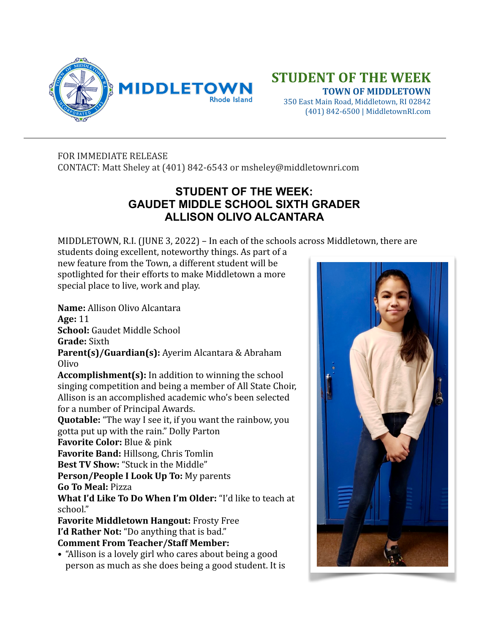

## **STUDENT OF THE WEEK**

 **TOWN OF MIDDLETOWN** 350 East Main Road, Middletown, RI 02842 (401) 842-6500 | MiddletownRI.com

FOR IMMEDIATE RELEASE CONTACT: Matt Sheley at (401) 842-6543 or msheley@middletownri.com

## **STUDENT OF THE WEEK: GAUDET MIDDLE SCHOOL SIXTH GRADER ALLISON OLIVO ALCANTARA**

MIDDLETOWN, R.I. (JUNE 3, 2022) – In each of the schools across Middletown, there are

students doing excellent, noteworthy things. As part of a new feature from the Town, a different student will be spotlighted for their efforts to make Middletown a more special place to live, work and play.

**Name:** Allison Olivo Alcantara **Age:** 11

**School:** Gaudet Middle School

**Grade:** Sixth

**Parent(s)/Guardian(s):** Ayerim Alcantara & Abraham Olivo

**Accomplishment(s):** In addition to winning the school singing competition and being a member of All State Choir, Allison is an accomplished academic who's been selected for a number of Principal Awards.

**Quotable:** "The way I see it, if you want the rainbow, you gotta put up with the rain." Dolly Parton

**Favorite Color:** Blue & pink

**Favorite Band:** Hillsong, Chris Tomlin

**Best TV Show:** "Stuck in the Middle"

**Person/People I Look Up To:** My parents

**Go To Meal:** Pizza

**What I'd Like To Do When I'm Older:** "I'd like to teach at school."

**Favorite Middletown Hangout: Frosty Free I'd Rather Not:** "Do anything that is bad." **Comment From Teacher/Staff Member:** 

• "Allison is a lovely girl who cares about being a good person as much as she does being a good student. It is